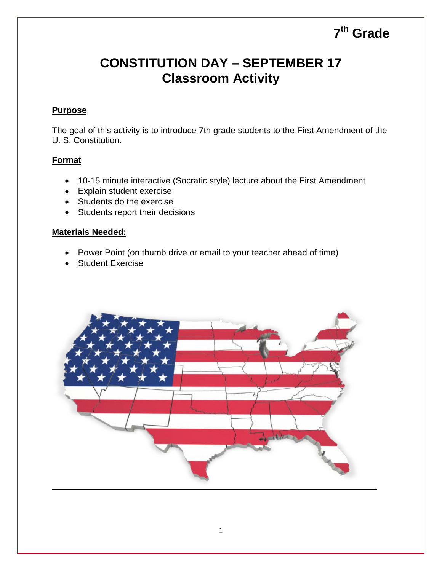# **7th Grade**

## **CONSTITUTION DAY – SEPTEMBER 17 Classroom Activity**

#### **Purpose**

The goal of this activity is to introduce 7th grade students to the First Amendment of the U. S. Constitution.

#### **Format**

- 10-15 minute interactive (Socratic style) lecture about the First Amendment
- Explain student exercise
- Students do the exercise
- Students report their decisions

#### **Materials Needed:**

- Power Point (on thumb drive or email to your teacher ahead of time)
- Student Exercise

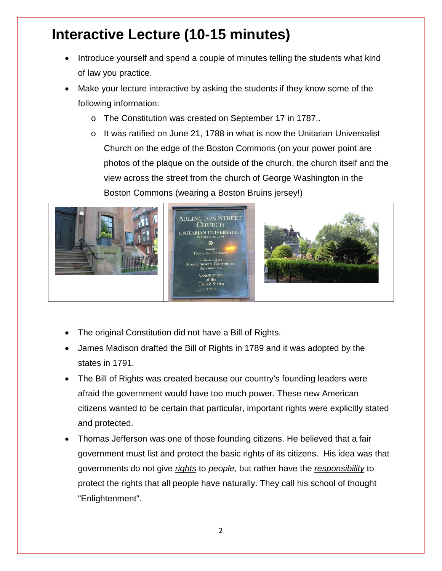# **Interactive Lecture (10-15 minutes)**

- Introduce yourself and spend a couple of minutes telling the students what kind of law you practice.
- Make your lecture interactive by asking the students if they know some of the following information:
	- o The Constitution was created on September 17 in 1787..
	- $\circ$  It was ratified on June 21, 1788 in what is now the Unitarian Universalist Church on the edge of the Boston Commons (on your power point are photos of the plaque on the outside of the church, the church itself and the view across the street from the church of George Washington in the Boston Commons (wearing a Boston Bruins jersey!)



- The original Constitution did not have a Bill of Rights.
- James Madison drafted the Bill of Rights in 1789 and it was adopted by the states in 1791.
- The Bill of Rights was created because our country's founding leaders were afraid the government would have too much power. These new American citizens wanted to be certain that particular, important rights were explicitly stated and protected.
- Thomas Jefferson was one of those founding citizens. He believed that a fair government must list and protect the basic rights of its citizens. His idea was that governments do not give *rights* to *people,* but rather have the *responsibility* to protect the rights that all people have naturally. They call his school of thought "Enlightenment".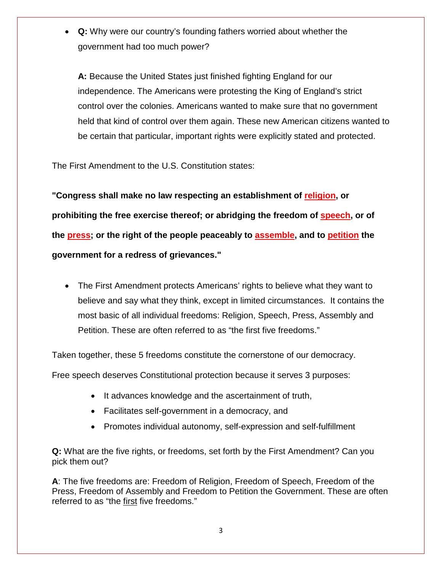• **Q:** Why were our country's founding fathers worried about whether the government had too much power?

**A:** Because the United States just finished fighting England for our independence. The Americans were protesting the King of England's strict control over the colonies. Americans wanted to make sure that no government held that kind of control over them again. These new American citizens wanted to be certain that particular, important rights were explicitly stated and protected.

The First Amendment to the U.S. Constitution states:

**"Congress shall make no law respecting an establishment of religion, or prohibiting the free exercise thereof; or abridging the freedom of speech, or of the press; or the right of the people peaceably to assemble, and to petition the government for a redress of grievances."** 

• The First Amendment protects Americans' rights to believe what they want to believe and say what they think, except in limited circumstances. It contains the most basic of all individual freedoms: Religion, Speech, Press, Assembly and Petition. These are often referred to as "the first five freedoms."

Taken together, these 5 freedoms constitute the cornerstone of our democracy.

Free speech deserves Constitutional protection because it serves 3 purposes:

- It advances knowledge and the ascertainment of truth,
- Facilitates self-government in a democracy, and
- Promotes individual autonomy, self-expression and self-fulfillment

**Q:** What are the five rights, or freedoms, set forth by the First Amendment? Can you pick them out?

**A**: The five freedoms are: Freedom of Religion, Freedom of Speech, Freedom of the Press, Freedom of Assembly and Freedom to Petition the Government. These are often referred to as "the first five freedoms."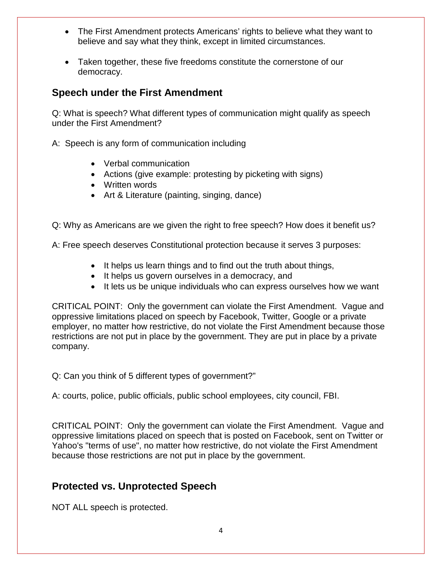- The First Amendment protects Americans' rights to believe what they want to believe and say what they think, except in limited circumstances.
- Taken together, these five freedoms constitute the cornerstone of our democracy.

### **Speech under the First Amendment**

Q: What is speech? What different types of communication might qualify as speech under the First Amendment?

- A: Speech is any form of communication including
	- Verbal communication
	- Actions (give example: protesting by picketing with signs)
	- Written words
	- Art & Literature (painting, singing, dance)

Q: Why as Americans are we given the right to free speech? How does it benefit us?

A: Free speech deserves Constitutional protection because it serves 3 purposes:

- It helps us learn things and to find out the truth about things,
- It helps us govern ourselves in a democracy, and
- It lets us be unique individuals who can express ourselves how we want

CRITICAL POINT: Only the government can violate the First Amendment. Vague and oppressive limitations placed on speech by Facebook, Twitter, Google or a private employer, no matter how restrictive, do not violate the First Amendment because those restrictions are not put in place by the government. They are put in place by a private company.

Q: Can you think of 5 different types of government?"

A: courts, police, public officials, public school employees, city council, FBI.

CRITICAL POINT: Only the government can violate the First Amendment. Vague and oppressive limitations placed on speech that is posted on Facebook, sent on Twitter or Yahoo's "terms of use", no matter how restrictive, do not violate the First Amendment because those restrictions are not put in place by the government.

## **Protected vs. Unprotected Speech**

NOT ALL speech is protected.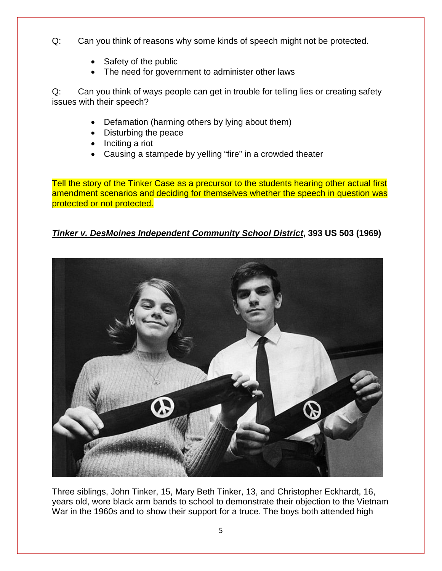- Q: Can you think of reasons why some kinds of speech might not be protected.
	- Safety of the public
	- The need for government to administer other laws

Q: Can you think of ways people can get in trouble for telling lies or creating safety issues with their speech?

- Defamation (harming others by lying about them)
- Disturbing the peace
- Inciting a riot
- Causing a stampede by yelling "fire" in a crowded theater

Tell the story of the Tinker Case as a precursor to the students hearing other actual first amendment scenarios and deciding for themselves whether the speech in question was protected or not protected.

### *Tinker v. DesMoines Independent Community School District***, 393 US 503 (1969)**



Three siblings, John Tinker, 15, Mary Beth Tinker, 13, and Christopher Eckhardt, 16, years old, wore black arm bands to school to demonstrate their objection to the Vietnam War in the 1960s and to show their support for a truce. The boys both attended high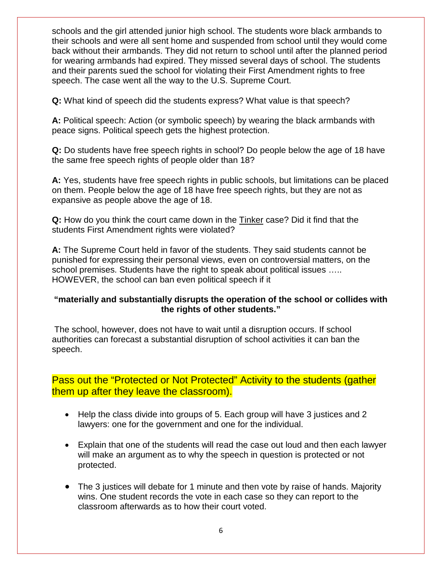schools and the girl attended junior high school. The students wore black armbands to their schools and were all sent home and suspended from school until they would come back without their armbands. They did not return to school until after the planned period for wearing armbands had expired. They missed several days of school. The students and their parents sued the school for violating their First Amendment rights to free speech. The case went all the way to the U.S. Supreme Court.

**Q:** What kind of speech did the students express? What value is that speech?

**A:** Political speech: Action (or symbolic speech) by wearing the black armbands with peace signs. Political speech gets the highest protection.

**Q:** Do students have free speech rights in school? Do people below the age of 18 have the same free speech rights of people older than 18?

**A:** Yes, students have free speech rights in public schools, but limitations can be placed on them. People below the age of 18 have free speech rights, but they are not as expansive as people above the age of 18.

**Q:** How do you think the court came down in the Tinker case? Did it find that the students First Amendment rights were violated?

**A:** The Supreme Court held in favor of the students. They said students cannot be punished for expressing their personal views, even on controversial matters, on the school premises. Students have the right to speak about political issues ….. HOWEVER, the school can ban even political speech if it

#### **"materially and substantially disrupts the operation of the school or collides with the rights of other students."**

The school, however, does not have to wait until a disruption occurs. If school authorities can forecast a substantial disruption of school activities it can ban the speech.

## Pass out the "Protected or Not Protected" Activity to the students (gather them up after they leave the classroom).

- Help the class divide into groups of 5. Each group will have 3 justices and 2 lawyers: one for the government and one for the individual.
- Explain that one of the students will read the case out loud and then each lawyer will make an argument as to why the speech in question is protected or not protected.
- The 3 justices will debate for 1 minute and then vote by raise of hands. Majority wins. One student records the vote in each case so they can report to the classroom afterwards as to how their court voted.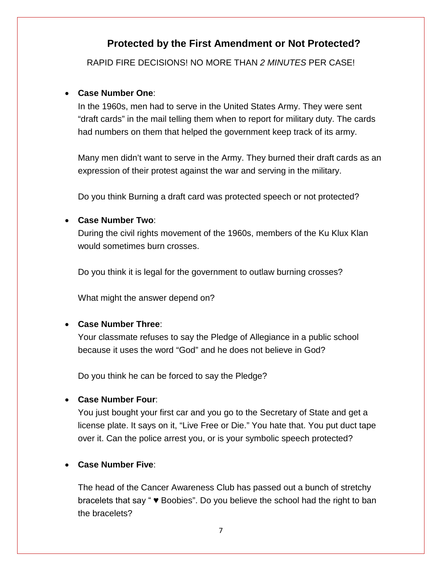## **Protected by the First Amendment or Not Protected?**

RAPID FIRE DECISIONS! NO MORE THAN *2 MINUTES* PER CASE!

#### • **Case Number One**:

In the 1960s, men had to serve in the United States Army. They were sent "draft cards" in the mail telling them when to report for military duty. The cards had numbers on them that helped the government keep track of its army.

Many men didn't want to serve in the Army. They burned their draft cards as an expression of their protest against the war and serving in the military.

Do you think Burning a draft card was protected speech or not protected?

#### • **Case Number Two**:

During the civil rights movement of the 1960s, members of the Ku Klux Klan would sometimes burn crosses.

Do you think it is legal for the government to outlaw burning crosses?

What might the answer depend on?

#### • **Case Number Three**:

Your classmate refuses to say the Pledge of Allegiance in a public school because it uses the word "God" and he does not believe in God?

Do you think he can be forced to say the Pledge?

#### • **Case Number Four**:

You just bought your first car and you go to the Secretary of State and get a license plate. It says on it, "Live Free or Die." You hate that. You put duct tape over it. Can the police arrest you, or is your symbolic speech protected?

#### • **Case Number Five**:

The head of the Cancer Awareness Club has passed out a bunch of stretchy bracelets that say " ♥ Boobies". Do you believe the school had the right to ban the bracelets?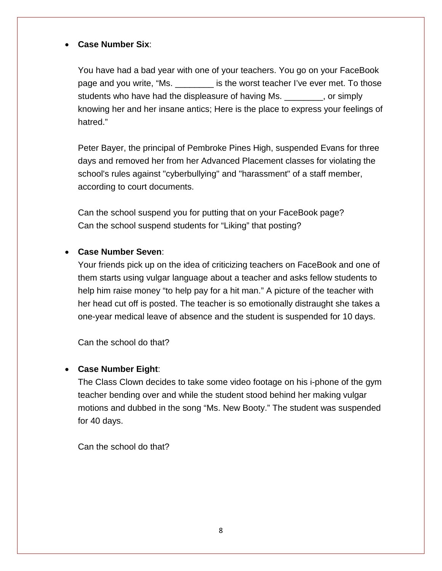#### • **Case Number Six**:

You have had a bad year with one of your teachers. You go on your FaceBook page and you write, "Ms. \_\_\_\_\_\_\_\_\_ is the worst teacher I've ever met. To those students who have had the displeasure of having Ms. \_\_\_\_\_\_\_\_, or simply knowing her and her insane antics; Here is the place to express your feelings of hatred."

Peter Bayer, the principal of Pembroke Pines High, suspended Evans for three days and removed her from her Advanced Placement classes for violating the school's rules against "cyberbullying" and "harassment" of a staff member, according to court documents.

Can the school suspend you for putting that on your FaceBook page? Can the school suspend students for "Liking" that posting?

#### • **Case Number Seven**:

Your friends pick up on the idea of criticizing teachers on FaceBook and one of them starts using vulgar language about a teacher and asks fellow students to help him raise money "to help pay for a hit man." A picture of the teacher with her head cut off is posted. The teacher is so emotionally distraught she takes a one-year medical leave of absence and the student is suspended for 10 days.

Can the school do that?

#### • **Case Number Eight**:

The Class Clown decides to take some video footage on his i-phone of the gym teacher bending over and while the student stood behind her making vulgar motions and dubbed in the song "Ms. New Booty." The student was suspended for 40 days.

Can the school do that?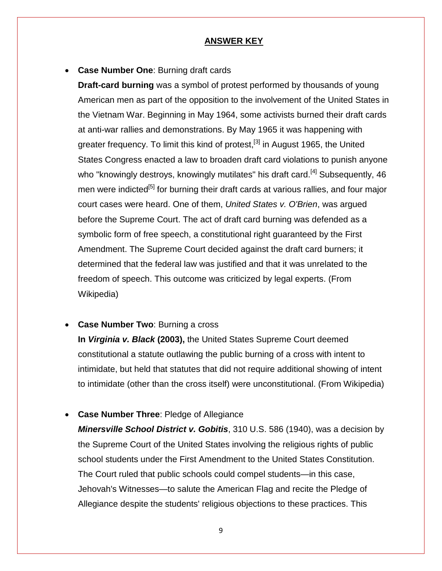#### **ANSWER KEY**

• **Case Number One**: Burning draft cards

**Draft-card burning** was a symbol of protest performed by thousands of young American men as part of the [opposition to the involvement of the United States in](http://en.wikipedia.org/wiki/Opposition_to_the_U.S._involvement_in_the_Vietnam_War)  [the Vietnam War.](http://en.wikipedia.org/wiki/Opposition_to_the_U.S._involvement_in_the_Vietnam_War) Beginning in May 1964, some activists burned their draft cards at anti-war rallies and demonstrations. By May 1965 it was happening with greater frequency. To limit this kind of protest,  $[3]$  in August 1965, the United [States Congress](http://en.wikipedia.org/wiki/United_States_Congress) enacted a law to broaden draft card violations to punish anyone who "knowingly destroys, knowingly mutilates" his draft card.<sup>[\[4\]](http://en.wikipedia.org/wiki/Draft-card_burning#cite_note-Miller-4)</sup> Subsequently, 46 men were indicted<sup>[5]</sup> for burning their draft cards at various rallies, and four major court cases were heard. One of them, *[United States v. O'Brien](http://en.wikipedia.org/wiki/United_States_v._O%27Brien)*, was argued before the [Supreme Court.](http://en.wikipedia.org/wiki/United_States_Supreme_Court) The act of draft card burning was defended as a symbolic form of [free speech,](http://en.wikipedia.org/wiki/Free_speech) a constitutional right guaranteed by the [First](http://en.wikipedia.org/wiki/First_Amendment_to_the_United_States_Constitution)  [Amendment.](http://en.wikipedia.org/wiki/First_Amendment_to_the_United_States_Constitution) The Supreme Court decided against the draft card burners; it determined that the federal law was justified and that it was unrelated to the freedom of speech. This outcome was criticized by legal experts. (From Wikipedia)

**Case Number Two: Burning a cross** 

**In** *[Virginia v. Black](http://en.wikipedia.org/wiki/Virginia_v._Black)* **(2003),** the [United States Supreme Court](http://en.wikipedia.org/wiki/Supreme_Court_of_the_United_States) deemed constitutional a statute outlawing the public burning of a cross with intent to intimidate, but held that statutes that did not require additional showing of intent to intimidate (other than the cross itself) were unconstitutional. (From Wikipedia)

• **Case Number Three**: Pledge of Allegiance

*Minersville School District v. Gobitis*, 310 [U.S.](http://en.wikipedia.org/wiki/United_States_Reports) [586](https://supreme.justia.com/us/310/586/case.html) (1940), was a decision by the [Supreme Court of the United States](http://en.wikipedia.org/wiki/Supreme_Court_of_the_United_States) involving the religious rights of public school students under the [First Amendment to the United States Constitution.](http://en.wikipedia.org/wiki/First_Amendment_to_the_United_States_Constitution) The Court ruled that public schools could compel students—in this case, [Jehovah's Witnesses—](http://en.wikipedia.org/wiki/Jehovah%27s_Witnesses)to salute the [American Flag](http://en.wikipedia.org/wiki/American_Flag) and recite the [Pledge of](http://en.wikipedia.org/wiki/Pledge_of_Allegiance)  [Allegiance](http://en.wikipedia.org/wiki/Pledge_of_Allegiance) despite the students' religious objections to these practices. This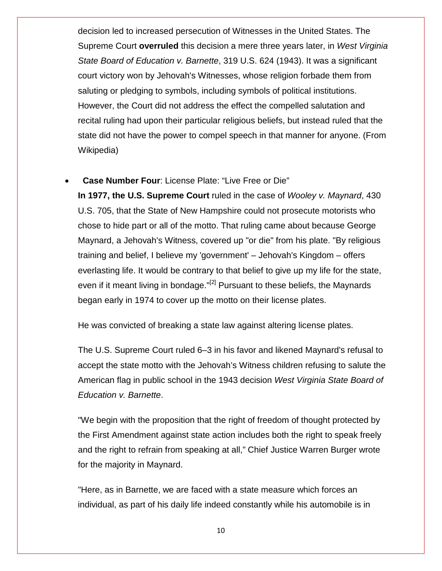decision led to increased persecution of Witnesses in the United States. The Supreme Court **overruled** this decision a mere three years later, in *[West Virginia](http://en.wikipedia.org/wiki/West_Virginia_State_Board_of_Education_v._Barnette)  [State Board of Education v.](http://en.wikipedia.org/wiki/West_Virginia_State_Board_of_Education_v._Barnette) Barnette*, 319 U.S. 624 (1943). It was a significant court victory won by [Jehovah's Witnesses,](http://en.wikipedia.org/wiki/Jehovah%27s_Witnesses) whose religion forbade them from saluting or pledging to symbols, including symbols of political institutions. However, the Court did not address the effect the compelled salutation and recital ruling had upon their particular religious beliefs, but instead ruled that the state did not have the power to compel speech in that manner for anyone. (From Wikipedia)

• **Case Number Four**: License Plate: "Live Free or Die"

**In 1977, the [U.S. Supreme Court](http://en.wikipedia.org/wiki/U.S._Supreme_Court)** ruled in the case of *[Wooley v. Maynard](http://en.wikipedia.org/wiki/Wooley_v._Maynard)*, 430 U.S. 705, that the State of New Hampshire could not prosecute motorists who chose to hide part or all of the motto. That ruling came about because George Maynard, a [Jehovah's Witness,](http://en.wikipedia.org/wiki/Jehovah%27s_Witness) covered up "or die" from his plate. "By religious training and belief, I believe my 'government' – Jehovah's Kingdom – offers everlasting life. It would be contrary to that belief to give up my life for the state, even if it meant living in bondage."<sup>[\[2\]](http://en.wikipedia.org/wiki/Live_Free_or_Die#cite_note-2)</sup> Pursuant to these beliefs, the Maynards began early in 1974 to cover up the motto on their license plates.

He was convicted of breaking a state law against altering license plates.

The U.S. Supreme Court ruled 6–3 in his favor and likened Maynard's refusal to accept the state motto with the Jehovah's Witness children refusing to salute the American flag in public school in the 1943 decision *[West Virginia State Board of](http://en.wikipedia.org/wiki/West_Virginia_State_Board_of_Education_v._Barnette)  [Education v. Barnette](http://en.wikipedia.org/wiki/West_Virginia_State_Board_of_Education_v._Barnette)*.

"We begin with the proposition that the right of freedom of thought protected by the First Amendment against state action includes both the right to speak freely and the right to refrain from speaking at all," Chief Justice Warren Burger wrote for the majority in Maynard.

"Here, as in Barnette, we are faced with a state measure which forces an individual, as part of his daily life indeed constantly while his automobile is in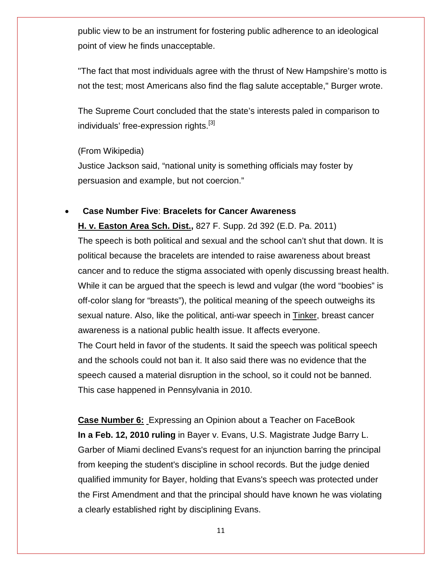public view to be an instrument for fostering public adherence to an ideological point of view he finds unacceptable.

"The fact that most individuals agree with the thrust of New Hampshire's motto is not the test; most Americans also find the flag salute acceptable," Burger wrote.

The Supreme Court concluded that the state's interests paled in comparison to individuals' free-expression rights.<sup>[\[3\]](http://en.wikipedia.org/wiki/Live_Free_or_Die#cite_note-3)</sup>

#### (From Wikipedia)

Justice Jackson said, "national unity is something officials may foster by persuasion and example, but not coercion."

#### • **Case Number Five**: **Bracelets for Cancer Awareness**

**H. v. Easton Area Sch. Dist.,** 827 F. Supp. 2d 392 (E.D. Pa. 2011) The speech is both political and sexual and the school can't shut that down. It is political because the bracelets are intended to raise awareness about breast cancer and to reduce the stigma associated with openly discussing breast health. While it can be argued that the speech is lewd and vulgar (the word "boobies" is off-color slang for "breasts"), the political meaning of the speech outweighs its sexual nature. Also, like the political, anti-war speech in Tinker, breast cancer awareness is a national public health issue. It affects everyone. The Court held in favor of the students. It said the speech was political speech and the schools could not ban it. It also said there was no evidence that the speech caused a material disruption in the school, so it could not be banned.

This case happened in Pennsylvania in 2010.

**Case Number 6:** Expressing an Opinion about a Teacher on FaceBook **In a Feb. 12, 2010 ruling** in [Bayer v. Evans,](http://howappealing.law.com/EvansVsBayerSDFla.pdf) U.S. Magistrate Judge Barry L. Garber of Miami declined Evans's request for an injunction barring the principal from keeping the student's discipline in school records. But the judge denied qualified immunity for Bayer, holding that Evans's speech was protected under the First Amendment and that the principal should have known he was violating a clearly established right by disciplining Evans.